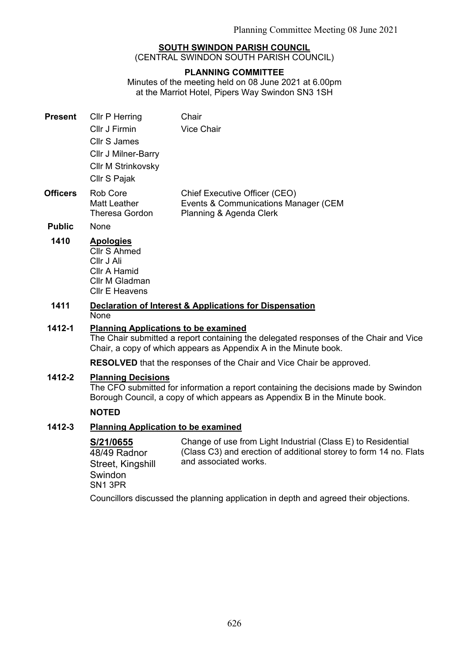# **SOUTH SWINDON PARISH COUNCIL**

(CENTRAL SWINDON SOUTH PARISH COUNCIL)

#### **PLANNING COMMITTEE**

Minutes of the meeting held on 08 June 2021 at 6.00pm at the Marriot Hotel, Pipers Way Swindon SN3 1SH

| <b>Present</b>  | Cllr P Herring<br>Cllr J Firmin<br><b>Cllr S James</b><br><b>CIIr J Milner-Barry</b><br><b>CIIr M Strinkovsky</b><br>Cllr S Pajak | Chair<br><b>Vice Chair</b>                                                                       |
|-----------------|-----------------------------------------------------------------------------------------------------------------------------------|--------------------------------------------------------------------------------------------------|
| <b>Officers</b> | Rob Core<br>Matt Leather<br>Theresa Gordon                                                                                        | Chief Executive Officer (CEO)<br>Events & Communications Manager (CEM<br>Planning & Agenda Clerk |

**Public** None

#### **1410 Apologies**

- Cllr S Ahmed Cllr J Ali Cllr A Hamid Cllr M Gladman Cllr E Heavens
- **1411 Declaration of Interest & Applications for Dispensation None**

### **1412-1 Planning Applications to be examined**

The Chair submitted a report containing the delegated responses of the Chair and Vice Chair, a copy of which appears as Appendix A in the Minute book.

**RESOLVED** that the responses of the Chair and Vice Chair be approved.

### **1412-2 Planning Decisions**

The CFO submitted for information a report containing the decisions made by Swindon Borough Council, a copy of which appears as Appendix B in the Minute book.

# **NOTED**

## **1412-3 Planning Application to be examined**

**S/21/0655**  48/49 Radnor Street, Kingshill Swindon SN1 3PR Change of use from Light Industrial (Class E) to Residential (Class C3) and erection of additional storey to form 14 no. Flats and associated works. Councillors discussed the planning application in depth and agreed their objections.